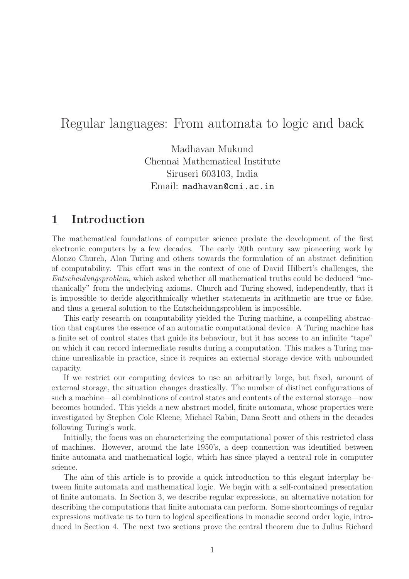# Regular languages: From automata to logic and back

Madhavan Mukund Chennai Mathematical Institute Siruseri 603103, India Email: madhavan@cmi.ac.in

### 1 Introduction

The mathematical foundations of computer science predate the development of the first electronic computers by a few decades. The early 20th century saw pioneering work by Alonzo Church, Alan Turing and others towards the formulation of an abstract definition of computability. This effort was in the context of one of David Hilbert's challenges, the Entscheidungsproblem, which asked whether all mathematical truths could be deduced "mechanically" from the underlying axioms. Church and Turing showed, independently, that it is impossible to decide algorithmically whether statements in arithmetic are true or false, and thus a general solution to the Entscheidungsproblem is impossible.

This early research on computability yielded the Turing machine, a compelling abstraction that captures the essence of an automatic computational device. A Turing machine has a finite set of control states that guide its behaviour, but it has access to an infinite "tape" on which it can record intermediate results during a computation. This makes a Turing machine unrealizable in practice, since it requires an external storage device with unbounded capacity.

If we restrict our computing devices to use an arbitrarily large, but fixed, amount of external storage, the situation changes drastically. The number of distinct configurations of such a machine—all combinations of control states and contents of the external storage—now becomes bounded. This yields a new abstract model, finite automata, whose properties were investigated by Stephen Cole Kleene, Michael Rabin, Dana Scott and others in the decades following Turing's work.

Initially, the focus was on characterizing the computational power of this restricted class of machines. However, around the late 1950's, a deep connection was identified between finite automata and mathematical logic, which has since played a central role in computer science.

The aim of this article is to provide a quick introduction to this elegant interplay between finite automata and mathematical logic. We begin with a self-contained presentation of finite automata. In Section 3, we describe regular expressions, an alternative notation for describing the computations that finite automata can perform. Some shortcomings of regular expressions motivate us to turn to logical specifications in monadic second order logic, introduced in Section 4. The next two sections prove the central theorem due to Julius Richard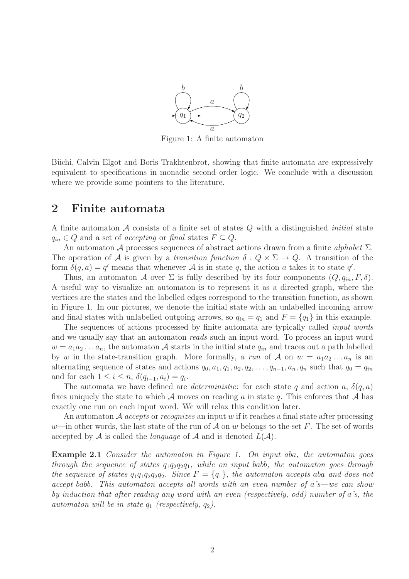

Figure 1: A finite automaton

Büchi, Calvin Elgot and Boris Trakhtenbrot, showing that finite automata are expressively equivalent to specifications in monadic second order logic. We conclude with a discussion where we provide some pointers to the literature.

### 2 Finite automata

A finite automaton  $A$  consists of a finite set of states  $Q$  with a distinguished *initial* state  $q_{in} \in Q$  and a set of accepting or final states  $F \subseteq Q$ .

An automaton A processes sequences of abstract actions drawn from a finite alphabet  $\Sigma$ . The operation of A is given by a transition function  $\delta: Q \times \Sigma \to Q$ . A transition of the form  $\delta(q, a) = q'$  means that whenever A is in state q, the action a takes it to state q'.

Thus, an automaton A over  $\Sigma$  is fully described by its four components  $(Q, q_i, F, \delta)$ . A useful way to visualize an automaton is to represent it as a directed graph, where the vertices are the states and the labelled edges correspond to the transition function, as shown in Figure 1. In our pictures, we denote the initial state with an unlabelled incoming arrow and final states with unlabelled outgoing arrows, so  $q_{in} = q_1$  and  $F = \{q_1\}$  in this example.

The sequences of actions processed by finite automata are typically called *input words* and we usually say that an automaton reads such an input word. To process an input word  $w = a_1 a_2 \dots a_n$ , the automaton A starts in the initial state  $q_{in}$  and traces out a path labelled by w in the state-transition graph. More formally, a run of A on  $w = a_1 a_2 ... a_n$  is an alternating sequence of states and actions  $q_0, a_1, q_1, a_2, q_2, \ldots, q_{n-1}, a_n, q_n$  such that  $q_0 = q_{in}$ and for each  $1 \leq i \leq n$ ,  $\delta(q_{i-1}, a_i) = q_i$ .

The automata we have defined are *deterministic*: for each state q and action a,  $\delta(q, a)$ fixes uniquely the state to which  $A$  moves on reading a in state q. This enforces that  $A$  has exactly one run on each input word. We will relax this condition later.

An automaton  $A$  accepts or recognizes an input w if it reaches a final state after processing w—in other words, the last state of the run of  $A$  on w belongs to the set F. The set of words accepted by A is called the *language* of A and is denoted  $L(\mathcal{A})$ .

Example 2.1 Consider the automaton in Figure 1. On input aba, the automaton goes through the sequence of states  $q_1q_2q_2q_1$ , while on input babb, the automaton goes through the sequence of states  $q_1q_1q_2q_2q_2$ . Since  $F = \{q_1\}$ , the automaton accepts aba and does not accept babb. This automaton accepts all words with an even number of  $a$ 's—we can show by induction that after reading any word with an even (respectively, odd) number of a's, the automaton will be in state  $q_1$  (respectively,  $q_2$ ).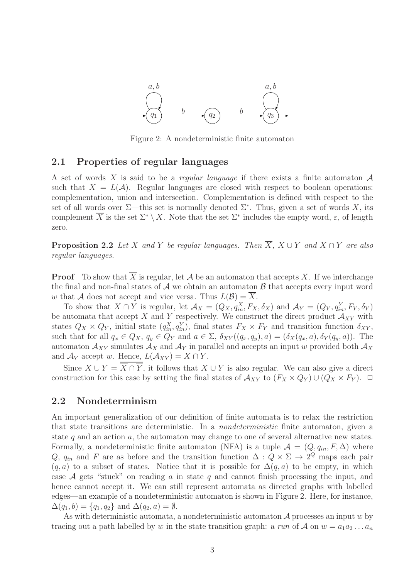

Figure 2: A nondeterministic finite automaton

#### 2.1 Properties of regular languages

A set of words X is said to be a regular language if there exists a finite automaton  $\mathcal A$ such that  $X = L(\mathcal{A})$ . Regular languages are closed with respect to boolean operations: complementation, union and intersection. Complementation is defined with respect to the set of all words over  $\Sigma$ —this set is normally denoted  $\Sigma^*$ . Thus, given a set of words X, its complement  $\overline{X}$  is the set  $\Sigma^* \setminus X$ . Note that the set  $\Sigma^*$  includes the empty word,  $\varepsilon$ , of length zero.

**Proposition 2.2** Let X and Y be regular languages. Then  $\overline{X}$ ,  $X \cup Y$  and  $X \cap Y$  are also regular languages.

**Proof** To show that  $\overline{X}$  is regular, let A be an automaton that accepts X. If we interchange the final and non-final states of  $\mathcal A$  we obtain an automaton  $\mathcal B$  that accepts every input word w that A does not accept and vice versa. Thus  $L(\mathcal{B}) = \overline{X}$ .

To show that  $X \cap Y$  is regular, let  $\mathcal{A}_X = (Q_X, q_{in}^X, F_X, \delta_X)$  and  $\mathcal{A}_Y = (Q_Y, q_{in}^Y, F_Y, \delta_Y)$ be automata that accept X and Y respectively. We construct the direct product  $\mathcal{A}_{XY}$  with states  $Q_X \times Q_Y$ , initial state  $(q_{in}^X, q_{in}^Y)$ , final states  $F_X \times F_Y$  and transition function  $\delta_{XY}$ , such that for all  $q_x \in Q_X$ ,  $q_y \in Q_Y$  and  $a \in \Sigma$ ,  $\delta_{XY}((q_x, q_y), a) = (\delta_X(q_x, a), \delta_Y(q_y, a))$ . The automaton  $\mathcal{A}_{XY}$  simulates  $\mathcal{A}_X$  and  $\mathcal{A}_Y$  in parallel and accepts an input w provided both  $\mathcal{A}_X$ and  $\mathcal{A}_Y$  accept w. Hence,  $L(\mathcal{A}_{XY}) = X \cap Y$ .

Since  $X \cup Y = \overline{X} \cap \overline{Y}$ , it follows that  $X \cup Y$  is also regular. We can also give a direct construction for this case by setting the final states of  $\mathcal{A}_{XY}$  to  $(F_X \times Q_Y) \cup (Q_X \times F_Y)$ .  $\Box$ 

#### 2.2 Nondeterminism

An important generalization of our definition of finite automata is to relax the restriction that state transitions are deterministic. In a nondeterministic finite automaton, given a state q and an action  $a$ , the automaton may change to one of several alternative new states. Formally, a nondeterministic finite automaton (NFA) is a tuple  $\mathcal{A} = (Q, q_{in}, F, \Delta)$  where Q,  $q_{in}$  and F are as before and the transition function  $\Delta: Q \times \Sigma \to 2^Q$  maps each pair  $(q, a)$  to a subset of states. Notice that it is possible for  $\Delta(q, a)$  to be empty, in which case A gets "stuck" on reading a in state q and cannot finish processing the input, and hence cannot accept it. We can still represent automata as directed graphs with labelled edges—an example of a nondeterministic automaton is shown in Figure 2. Here, for instance,  $\Delta(q_1, b) = \{q_1, q_2\}$  and  $\Delta(q_2, a) = \emptyset$ .

As with deterministic automata, a nondeterministic automaton  $A$  processes an input  $w$  by tracing out a path labelled by w in the state transition graph: a run of A on  $w = a_1 a_2 \dots a_n$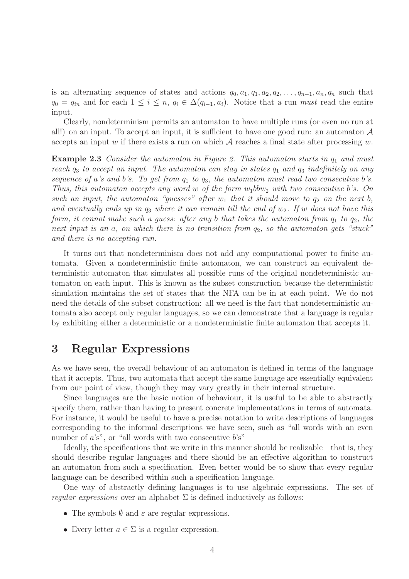is an alternating sequence of states and actions  $q_0, a_1, q_1, a_2, q_2, \ldots, q_{n-1}, a_n, q_n$  such that  $q_0 = q_{in}$  and for each  $1 \leq i \leq n$ ,  $q_i \in \Delta(q_{i-1}, a_i)$ . Notice that a run must read the entire input.

Clearly, nondeterminism permits an automaton to have multiple runs (or even no run at all!) on an input. To accept an input, it is sufficient to have one good run: an automaton  $A$ accepts an input w if there exists a run on which  $A$  reaches a final state after processing w.

Example 2.3 Consider the automaton in Figure 2. This automaton starts in  $q_1$  and must reach  $q_3$  to accept an input. The automaton can stay in states  $q_1$  and  $q_3$  indefinitely on any sequence of a's and b's. To get from  $q_1$  to  $q_3$ , the automaton must read two consecutive b's. Thus, this automaton accepts any word w of the form  $w_1 b b w_2$  with two consecutive b's. On such an input, the automaton "guesses" after  $w_1$  that it should move to  $q_2$  on the next b, and eventually ends up in  $q_3$  where it can remain till the end of  $w_2$ . If w does not have this form, it cannot make such a guess: after any b that takes the automaton from  $q_1$  to  $q_2$ , the next input is an  $a$ , on which there is no transition from  $q_2$ , so the automaton gets "stuck" and there is no accepting run.

It turns out that nondeterminism does not add any computational power to finite automata. Given a nondeterministic finite automaton, we can construct an equivalent deterministic automaton that simulates all possible runs of the original nondeterministic automaton on each input. This is known as the subset construction because the deterministic simulation maintains the set of states that the NFA can be in at each point. We do not need the details of the subset construction: all we need is the fact that nondeterministic automata also accept only regular languages, so we can demonstrate that a language is regular by exhibiting either a deterministic or a nondeterministic finite automaton that accepts it.

### 3 Regular Expressions

As we have seen, the overall behaviour of an automaton is defined in terms of the language that it accepts. Thus, two automata that accept the same language are essentially equivalent from our point of view, though they may vary greatly in their internal structure.

Since languages are the basic notion of behaviour, it is useful to be able to abstractly specify them, rather than having to present concrete implementations in terms of automata. For instance, it would be useful to have a precise notation to write descriptions of languages corresponding to the informal descriptions we have seen, such as "all words with an even number of  $a$ 's", or "all words with two consecutive  $b$ 's"

Ideally, the specifications that we write in this manner should be realizable—that is, they should describe regular languages and there should be an effective algorithm to construct an automaton from such a specification. Even better would be to show that every regular language can be described within such a specification language.

One way of abstractly defining languages is to use algebraic expressions. The set of *regular expressions* over an alphabet  $\Sigma$  is defined inductively as follows:

- The symbols  $\emptyset$  and  $\varepsilon$  are regular expressions.
- Every letter  $a \in \Sigma$  is a regular expression.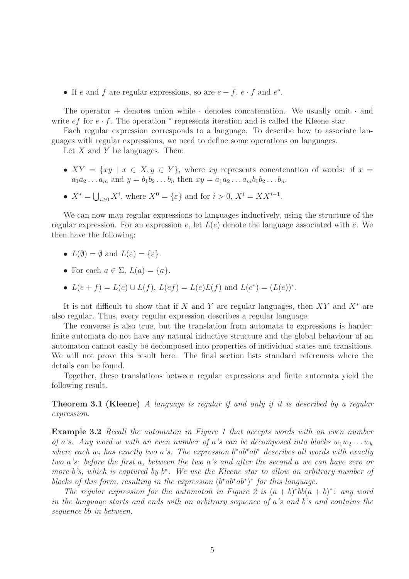• If e and f are regular expressions, so are  $e + f$ ,  $e \cdot f$  and  $e^*$ .

The operator  $+$  denotes union while  $\cdot$  denotes concatenation. We usually omit  $\cdot$  and write  $ef$  for  $e \cdot f$ . The operation  $*$  represents iteration and is called the Kleene star.

Each regular expression corresponds to a language. To describe how to associate languages with regular expressions, we need to define some operations on languages.

Let  $X$  and  $Y$  be languages. Then:

- $XY = \{xy \mid x \in X, y \in Y\}$ , where xy represents concatenation of words: if  $x =$  $a_1 a_2 \ldots a_m$  and  $y = b_1 b_2 \ldots b_n$  then  $xy = a_1 a_2 \ldots a_m b_1 b_2 \ldots b_n$ .
- $X^* = \bigcup_{i \geq 0} X^i$ , where  $X^0 = \{\varepsilon\}$  and for  $i > 0$ ,  $X^i = XX^{i-1}$ .

We can now map regular expressions to languages inductively, using the structure of the regular expression. For an expression  $e$ , let  $L(e)$  denote the language associated with e. We then have the following:

- $L(\emptyset) = \emptyset$  and  $L(\varepsilon) = {\varepsilon}.$
- For each  $a \in \Sigma$ ,  $L(a) = \{a\}$ .
- $L(e + f) = L(e) \cup L(f)$ ,  $L(ef) = L(e)L(f)$  and  $L(e^*) = (L(e))^*$ .

It is not difficult to show that if X and Y are regular languages, then XY and  $X^*$  are also regular. Thus, every regular expression describes a regular language.

The converse is also true, but the translation from automata to expressions is harder: finite automata do not have any natural inductive structure and the global behaviour of an automaton cannot easily be decomposed into properties of individual states and transitions. We will not prove this result here. The final section lists standard references where the details can be found.

Together, these translations between regular expressions and finite automata yield the following result.

**Theorem 3.1 (Kleene)** A language is regular if and only if it is described by a regular expression.

Example 3.2 Recall the automaton in Figure 1 that accepts words with an even number of a's. Any word w with an even number of a's can be decomposed into blocks  $w_1w_2 \ldots w_k$ where each  $w_i$  has exactly two a's. The expression  $b^*ab^*ab^*$  describes all words with exactly two a's: before the first a, between the two a's and after the second a we can have zero or more b's, which is captured by  $b^*$ . We use the Kleene star to allow an arbitrary number of blocks of this form, resulting in the expression  $(b^*ab^*ab^*)^*$  for this language.

The regular expression for the automaton in Figure 2 is  $(a + b)^*bb(a + b)^*$ : any word in the language starts and ends with an arbitrary sequence of a's and b's and contains the sequence bb in between.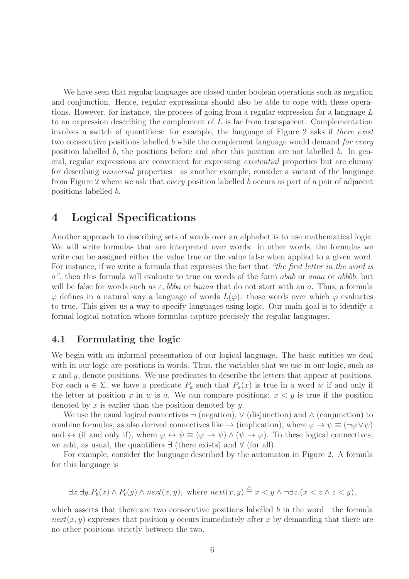We have seen that regular languages are closed under boolean operations such as negation and conjunction. Hence, regular expressions should also be able to cope with these operations. However, for instance, the process of going from a regular expression for a language  $L$ to an expression describing the complement of  $L$  is far from transparent. Complementation involves a switch of quantifiers: for example, the language of Figure 2 asks if there exist two consecutive positions labelled b while the complement language would demand for every position labelled b, the positions before and after this position are not labelled b. In general, regular expressions are convenient for expressing existential properties but are clumsy for describing *universal* properties—as another example, consider a variant of the language from Figure 2 where we ask that every position labelled b occurs as part of a pair of adjacent positions labelled b.

## 4 Logical Specifications

Another approach to describing sets of words over an alphabet is to use mathematical logic. We will write formulas that are interpreted over words: in other words, the formulas we write can be assigned either the value true or the value false when applied to a given word. For instance, if we write a formula that expresses the fact that "the first letter in the word is a", then this formula will evaluate to true on words of the form abab or aaaa or abbbb, but will be false for words such as  $\varepsilon$ , bbba or baaaa that do not start with an a. Thus, a formula  $\varphi$  defines in a natural way a language of words  $L(\varphi)$ : those words over which  $\varphi$  evaluates to true. This gives us a way to specify languages using logic. Our main goal is to identify a formal logical notation whose formulas capture precisely the regular languages.

### 4.1 Formulating the logic

We begin with an informal presentation of our logical language. The basic entities we deal with in our logic are positions in words. Thus, the variables that we use in our logic, such as  $x$  and  $y$ , denote positions. We use predicates to describe the letters that appear at positions. For each  $a \in \Sigma$ , we have a predicate  $P_a$  such that  $P_a(x)$  is true in a word w if and only if the letter at position x in w is a. We can compare positions:  $x < y$  is true if the position denoted by x is earlier than the position denoted by y.

We use the usual logical connectives  $\neg$  (negation),  $\vee$  (disjunction) and  $\wedge$  (conjunction) to combine formulas, as also derived connectives like  $\rightarrow$  (implication), where  $\varphi \rightarrow \psi \equiv (\neg \varphi \vee \psi)$ and  $\leftrightarrow$  (if and only if), where  $\varphi \leftrightarrow \psi \equiv (\varphi \rightarrow \psi) \wedge (\psi \rightarrow \varphi)$ . To these logical connectives, we add, as usual, the quantifiers ∃ (there exists) and ∀ (for all).

For example, consider the language described by the automaton in Figure 2. A formula for this language is

$$
\exists x. \exists y. P_b(x) \land P_b(y) \land next(x, y), \text{ where } next(x, y) \stackrel{\triangle}{=} x < y \land \neg \exists z. (x < z \land z < y),
$$

which asserts that there are two consecutive positions labelled  $b$  in the word—the formula  $next(x, y)$  expresses that position y occurs immediately after x by demanding that there are no other positions strictly between the two.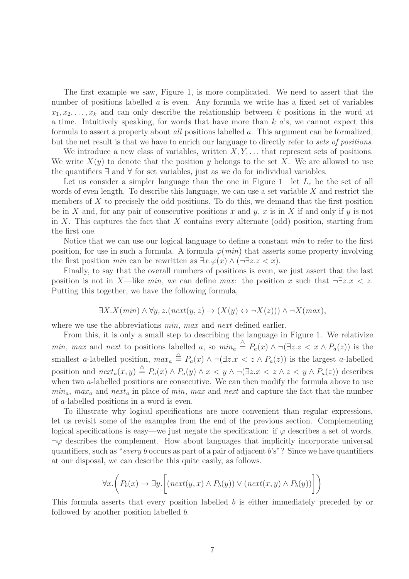The first example we saw, Figure 1, is more complicated. We need to assert that the number of positions labelled a is even. Any formula we write has a fixed set of variables  $x_1, x_2, \ldots, x_k$  and can only describe the relationship between k positions in the word at a time. Intuitively speaking, for words that have more than  $k$  a's, we cannot expect this formula to assert a property about *all* positions labelled a. This argument can be formalized, but the net result is that we have to enrich our language to directly refer to sets of positions.

We introduce a new class of variables, written  $X, Y, \ldots$  that represent sets of positions. We write  $X(y)$  to denote that the position y belongs to the set X. We are allowed to use the quantifiers ∃ and ∀ for set variables, just as we do for individual variables.

Let us consider a simpler language than the one in Figure  $1$ —let  $L_e$  be the set of all words of even length. To describe this language, we can use a set variable  $X$  and restrict the members of  $X$  to precisely the odd positions. To do this, we demand that the first position be in X and, for any pair of consecutive positions x and y, x is in X if and only if y is not in X. This captures the fact that  $X$  contains every alternate (odd) position, starting from the first one.

Notice that we can use our logical language to define a constant min to refer to the first position, for use in such a formula. A formula  $\varphi(min)$  that asserts some property involving the first position *min* can be rewritten as  $\exists x.\varphi(x) \wedge (\neg \exists z.z < x)$ .

Finally, to say that the overall numbers of positions is even, we just assert that the last position is not in X—like min, we can define max: the position x such that  $\neg \exists z.x < z$ . Putting this together, we have the following formula,

$$
\exists X. X(min) \land \forall y, z. (next(y, z) \rightarrow (X(y) \leftrightarrow \neg X(z))) \land \neg X(max),
$$

where we use the abbreviations *min*, *max* and *next* defined earlier.

From this, it is only a small step to describing the language in Figure 1. We relativize min, max and next to positions labelled a, so  $min_a \triangleq P_a(x) \wedge \neg (\exists z. z \langle x \wedge P_a(z))$  is the smallest a-labelled position,  $max_a \triangleq P_a(x) \wedge \neg (\exists z.x \langle z \wedge P_a(z))$  is the largest a-labelled position and  $next_a(x,y) \triangleq P_a(x) \wedge P_a(y) \wedge x \langle y \wedge \neg (\exists z.x \langle z \wedge z \langle y \wedge P_a(z)) \rangle)$  describes when two *a*-labelled positions are consecutive. We can then modify the formula above to use  $min_a$ ,  $max_a$  and  $next_a$  in place of  $min$ ,  $max$  and  $next$  and capture the fact that the number of a-labelled positions in a word is even.

To illustrate why logical specifications are more convenient than regular expressions, let us revisit some of the examples from the end of the previous section. Complementing logical specifications is easy—we just negate the specification: if  $\varphi$  describes a set of words,  $\neg \varphi$  describes the complement. How about languages that implicitly incorporate universal quantifiers, such as "every b occurs as part of a pair of adjacent  $b$ 's"? Since we have quantifiers at our disposal, we can describe this quite easily, as follows.

$$
\forall x. \bigg( P_b(x) \to \exists y. \bigg[ (next(y, x) \land P_b(y)) \lor (next(x, y) \land P_b(y)) \bigg] \bigg)
$$

This formula asserts that every position labelled b is either immediately preceded by or followed by another position labelled b.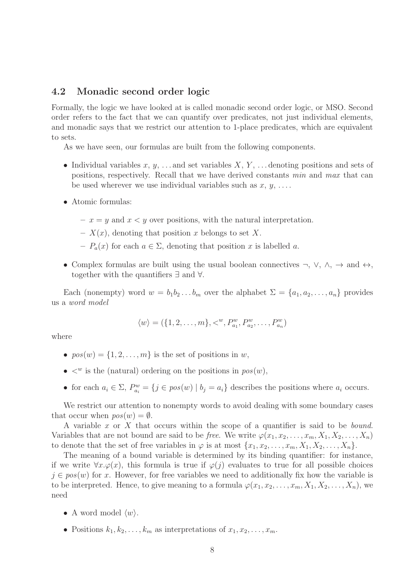#### 4.2 Monadic second order logic

Formally, the logic we have looked at is called monadic second order logic, or MSO. Second order refers to the fact that we can quantify over predicates, not just individual elements, and monadic says that we restrict our attention to 1-place predicates, which are equivalent to sets.

As we have seen, our formulas are built from the following components.

- Individual variables  $x, y, \ldots$  and set variables  $X, Y, \ldots$  denoting positions and sets of positions, respectively. Recall that we have derived constants min and max that can be used wherever we use individual variables such as  $x, y, \ldots$ .
- Atomic formulas:
	- $-x = y$  and  $x < y$  over positions, with the natural interpretation.
	- $-X(x)$ , denoting that position x belongs to set X.
	- $P_a(x)$  for each  $a \in \Sigma$ , denoting that position x is labelled a.
- Complex formulas are built using the usual boolean connectives  $\neg$ ,  $\vee$ ,  $\wedge$ ,  $\rightarrow$  and  $\leftrightarrow$ , together with the quantifiers ∃ and ∀.

Each (nonempty) word  $w = b_1b_2...b_m$  over the alphabet  $\Sigma = \{a_1, a_2,..., a_n\}$  provides us a word model

$$
\langle w \rangle = (\{1, 2, \dots, m\}, \langle w, P_{a_1}^w, P_{a_2}^w, \dots, P_{a_n}^w)
$$

where

- $pos(w) = \{1, 2, \ldots, m\}$  is the set of positions in w,
- $\lt^w$  is the (natural) ordering on the positions in  $pos(w)$ ,
- for each  $a_i \in \Sigma$ ,  $P_{a_i}^w = \{j \in pos(w) \mid b_j = a_i\}$  describes the positions where  $a_i$  occurs.

We restrict our attention to nonempty words to avoid dealing with some boundary cases that occur when  $pos(w) = \emptyset$ .

A variable x or X that occurs within the scope of a quantifier is said to be bound. Variables that are not bound are said to be free. We write  $\varphi(x_1, x_2, \ldots, x_m, X_1, X_2, \ldots, X_n)$ to denote that the set of free variables in  $\varphi$  is at most  $\{x_1, x_2, \ldots, x_m, X_1, X_2, \ldots, X_n\}.$ 

The meaning of a bound variable is determined by its binding quantifier: for instance, if we write  $\forall x.\varphi(x)$ , this formula is true if  $\varphi(j)$  evaluates to true for all possible choices  $j \in pos(w)$  for x. However, for free variables we need to additionally fix how the variable is to be interpreted. Hence, to give meaning to a formula  $\varphi(x_1, x_2, \ldots, x_m, X_1, X_2, \ldots, X_n)$ , we need

- A word model  $\langle w \rangle$ .
- Positions  $k_1, k_2, \ldots, k_m$  as interpretations of  $x_1, x_2, \ldots, x_m$ .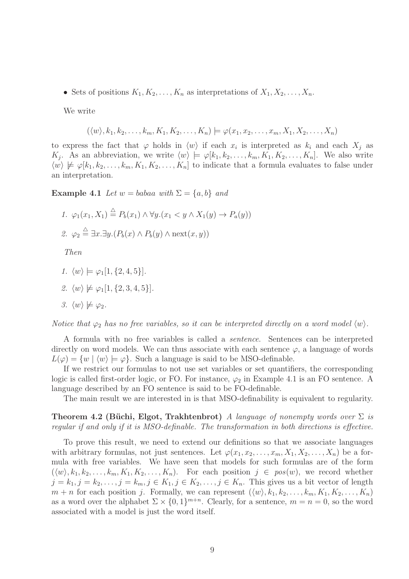• Sets of positions  $K_1, K_2, \ldots, K_n$  as interpretations of  $X_1, X_2, \ldots, X_n$ .

We write

$$
(\langle w \rangle, k_1, k_2, \dots, k_m, K_1, K_2, \dots, K_n) \models \varphi(x_1, x_2, \dots, x_m, X_1, X_2, \dots, X_n)
$$

to express the fact that  $\varphi$  holds in  $\langle w \rangle$  if each  $x_i$  is interpreted as  $k_i$  and each  $X_j$  as  $K_j$ . As an abbreviation, we write  $\langle w \rangle \models \varphi[k_1, k_2, \ldots, k_m, K_1, K_2, \ldots, K_n]$ . We also write  $\langle w \rangle \not\models \varphi[k_1, k_2, \ldots, k_m, K_1, K_2, \ldots, K_n]$  to indicate that a formula evaluates to false under an interpretation.

**Example 4.1** Let  $w = babaa \ with \ \Sigma = \{a, b\} \ and$ 

1. 
$$
\varphi_1(x_1, X_1) \stackrel{\triangle}{=} P_b(x_1) \land \forall y.(x_1 < y \land X_1(y) \to P_a(y))
$$
  
\n2.  $\varphi_2 \stackrel{\triangle}{=} \exists x. \exists y.(P_b(x) \land P_b(y) \land \text{next}(x, y))$ 

Then

- 1.  $\langle w \rangle \models \varphi_1[1, \{2, 4, 5\}].$
- 2.  $\langle w \rangle \not\models \varphi_1[1, \{2, 3, 4, 5\}].$

3. 
$$
\langle w \rangle \not\models \varphi_2
$$
.

Notice that  $\varphi_2$  has no free variables, so it can be interpreted directly on a word model  $\langle w \rangle$ .

A formula with no free variables is called a sentence. Sentences can be interpreted directly on word models. We can thus associate with each sentence  $\varphi$ , a language of words  $L(\varphi) = \{w \mid \langle w \rangle \models \varphi\}.$  Such a language is said to be MSO-definable.

If we restrict our formulas to not use set variables or set quantifiers, the corresponding logic is called first-order logic, or FO. For instance,  $\varphi_2$  in Example 4.1 is an FO sentence. A language described by an FO sentence is said to be FO-definable.

The main result we are interested in is that MSO-definability is equivalent to regularity.

**Theorem 4.2 (Büchi, Elgot, Trakhtenbrot)** A language of nonempty words over  $\Sigma$  is regular if and only if it is MSO-definable. The transformation in both directions is effective.

To prove this result, we need to extend our definitions so that we associate languages with arbitrary formulas, not just sentences. Let  $\varphi(x_1, x_2, \ldots, x_m, X_1, X_2, \ldots, X_n)$  be a formula with free variables. We have seen that models for such formulas are of the form  $(\langle w \rangle, k_1, k_2, \ldots, k_m, K_1, K_2, \ldots, K_n)$ . For each position  $j \in pos(w)$ , we record whether  $j = k_1, j = k_2, \ldots, j = k_m, j \in K_1, j \in K_2, \ldots, j \in K_n$ . This gives us a bit vector of length  $m + n$  for each position j. Formally, we can represent  $(\langle w \rangle, k_1, k_2, \ldots, k_m, K_1, K_2, \ldots, K_n)$ as a word over the alphabet  $\Sigma \times \{0,1\}^{m+n}$ . Clearly, for a sentence,  $m = n = 0$ , so the word associated with a model is just the word itself.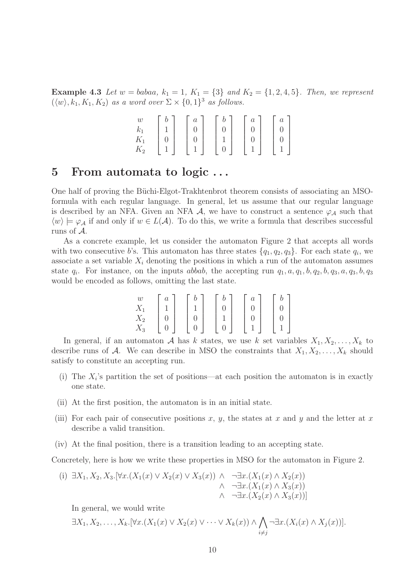**Example 4.3** Let  $w = babaa$ ,  $k_1 = 1$ ,  $K_1 = \{3\}$  and  $K_2 = \{1, 2, 4, 5\}$ . Then, we represent  $(\langle w \rangle, k_1, K_1, K_2)$  as a word over  $\Sigma \times \{0, 1\}^3$  as follows.

| $\boldsymbol{w}$        |                | $\alpha$ | $\perp b$      | $a_{-1}$     | $\begin{bmatrix} a \end{bmatrix}$ |
|-------------------------|----------------|----------|----------------|--------------|-----------------------------------|
|                         | $\overline{1}$ |          |                |              | $\overline{0}$ 1                  |
|                         |                |          | $\overline{1}$ |              | $\overline{0}$                    |
| $k_1$<br>$K_1$<br>$K_2$ |                |          | $\theta$       | $\mathbf{1}$ | $\mathbf{1}$                      |

### 5 From automata to logic . . .

One half of proving the Büchi-Elgot-Trakhtenbrot theorem consists of associating an MSOformula with each regular language. In general, let us assume that our regular language is described by an NFA. Given an NFA  $\mathcal{A}$ , we have to construct a sentence  $\varphi_{\mathcal{A}}$  such that  $\langle w \rangle \models \varphi_A$  if and only if  $w \in L(\mathcal{A})$ . To do this, we write a formula that describes successful runs of A.

As a concrete example, let us consider the automaton Figure 2 that accepts all words with two consecutive b's. This automaton has three states  $\{q_1, q_2, q_3\}$ . For each state  $q_i$ , we associate a set variable  $X_i$  denoting the positions in which a run of the automaton assumes state  $q_i$ . For instance, on the inputs abbab, the accepting run  $q_1, a, q_1, b, q_2, b, q_3, a, q_3, b, q_3$ would be encoded as follows, omitting the last state.

| $\boldsymbol{w}$ | $\overline{a}$ | $\boldsymbol{b}$ |   | $\overline{a}$ | $\boldsymbol{h}$ |
|------------------|----------------|------------------|---|----------------|------------------|
| $X_1$            | 1              | 1                |   |                |                  |
| $X_2$            | $\cap$         |                  | 1 |                |                  |
| $X_3$            | $\theta$       |                  |   |                | $\mathbf{1}$     |

In general, if an automaton A has k states, we use k set variables  $X_1, X_2, \ldots, X_k$  to describe runs of A. We can describe in MSO the constraints that  $X_1, X_2, \ldots, X_k$  should satisfy to constitute an accepting run.

- (i) The  $X_i$ 's partition the set of positions—at each position the automaton is in exactly one state.
- (ii) At the first position, the automaton is in an initial state.
- (iii) For each pair of consecutive positions x, y, the states at x and y and the letter at x describe a valid transition.
- (iv) At the final position, there is a transition leading to an accepting state.

Concretely, here is how we write these properties in MSO for the automaton in Figure 2.

(i) 
$$
\exists X_1, X_2, X_3. [\forall x. (X_1(x) \lor X_2(x) \lor X_3(x)) \land \neg \exists x. (X_1(x) \land X_2(x))
$$
  
 $\land \neg \exists x. (X_1(x) \land X_3(x))$   
 $\land \neg \exists x. (X_2(x) \land X_3(x))$ 

In general, we would write

$$
\exists X_1, X_2, \ldots, X_k. [\forall x. (X_1(x) \vee X_2(x) \vee \cdots \vee X_k(x)) \wedge \bigwedge_{i \neq j} \neg \exists x. (X_i(x) \wedge X_j(x))].
$$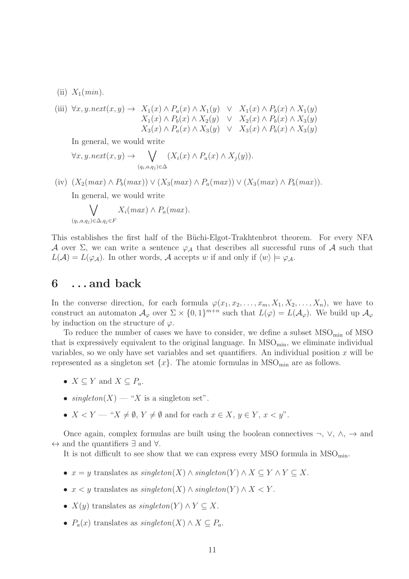(ii)  $X_1(min)$ .

(iii) 
$$
\forall x, y.next(x, y) \rightarrow X_1(x) \land P_a(x) \land X_1(y) \lor X_1(x) \land P_b(x) \land X_1(y)
$$
  
\n
$$
X_1(x) \land P_b(x) \land X_2(y) \lor X_2(x) \land P_b(x) \land X_3(y)
$$
\n
$$
X_3(x) \land P_a(x) \land X_3(y) \lor X_3(x) \land P_b(x) \land X_3(y)
$$

In general, we would write

$$
\forall x, y.next(x, y) \rightarrow \bigvee_{(q_i, a, q_j) \in \Delta} (X_i(x) \land P_a(x) \land X_j(y)).
$$

(iv)  $(X_2(max) \wedge P_b(max)) \vee (X_3(max) \wedge P_a(max)) \vee (X_3(max) \wedge P_b(max)).$ In general, we would write

$$
\bigvee_{(q_i, a, q_j) \in \Delta, q_j \in F} X_i(max) \wedge P_a(max).
$$

This establishes the first half of the Büchi-Elgot-Trakhtenbrot theorem. For every NFA A over  $\Sigma$ , we can write a sentence  $\varphi_{\mathcal{A}}$  that describes all successful runs of A such that  $L(\mathcal{A}) = L(\varphi_{\mathcal{A}})$ . In other words,  $\mathcal{A}$  accepts w if and only if  $\langle w \rangle \models \varphi_{\mathcal{A}}$ .

### 6 . . . and back

In the converse direction, for each formula  $\varphi(x_1, x_2, \ldots, x_m, X_1, X_2, \ldots, X_n)$ , we have to construct an automaton  $\mathcal{A}_{\varphi}$  over  $\Sigma \times \{0,1\}^{m+n}$  such that  $L(\varphi) = L(\mathcal{A}_{\varphi})$ . We build up  $\mathcal{A}_{\varphi}$ by induction on the structure of  $\varphi$ .

To reduce the number of cases we have to consider, we define a subset  $\rm{MSO}_{\rm{min}}$  of  $\rm{MSO}$ that is expressively equivalent to the original language. In  $MSO_{min}$ , we eliminate individual variables, so we only have set variables and set quantifiers. An individual position  $x$  will be represented as a singleton set  $\{x\}$ . The atomic formulas in  $MSO_{min}$  are as follows.

- $X \subseteq Y$  and  $X \subseteq P_a$ .
- $singleton(X)$  "X is a singleton set".
- $X \leq Y "X \neq \emptyset, Y \neq \emptyset$  and for each  $x \in X, y \in Y, x \leq y$ ".

Once again, complex formulas are built using the boolean connectives  $\neg$ ,  $\vee$ ,  $\wedge$ ,  $\rightarrow$  and ↔ and the quantifiers ∃ and ∀.

It is not difficult to see show that we can express every MSO formula in  $MSO_{min}$ .

- $x = y$  translates as singleton(X)  $\land$  singleton(Y)  $\land$   $X \subseteq Y \land Y \subseteq X$ .
- $x < y$  translates as  $singleton(X) \wedge singleton(Y) \wedge X < Y$ .
- $X(y)$  translates as  $singleton(Y) \wedge Y \subseteq X$ .
- $P_a(x)$  translates as singleton(X)  $\wedge X \subseteq P_a$ .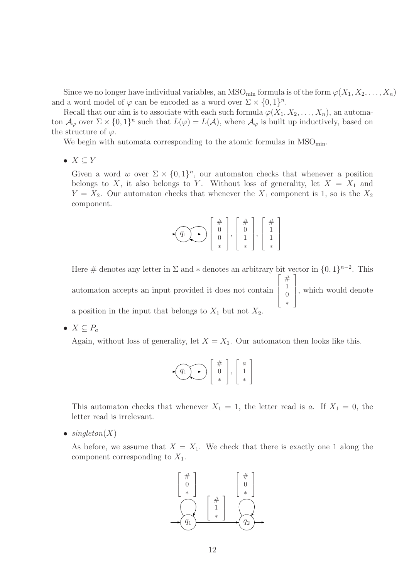Since we no longer have individual variables, an MSO<sub>min</sub> formula is of the form  $\varphi(X_1, X_2, \ldots, X_n)$ and a word model of  $\varphi$  can be encoded as a word over  $\Sigma \times \{0,1\}^n$ .

Recall that our aim is to associate with each such formula  $\varphi(X_1, X_2, \ldots, X_n)$ , an automaton  $\mathcal{A}_{\varphi}$  over  $\Sigma \times \{0,1\}^n$  such that  $L(\varphi) = L(\mathcal{A})$ , where  $\mathcal{A}_{\varphi}$  is built up inductively, based on the structure of  $\varphi$ .

We begin with automata corresponding to the atomic formulas in  $\mathrm{MSO}_{\mathrm{min}}$ .

•  $X \subseteq Y$ 

Given a word w over  $\Sigma \times \{0,1\}^n$ , our automaton checks that whenever a position belongs to X, it also belongs to Y. Without loss of generality, let  $X = X_1$  and  $Y = X_2$ . Our automaton checks that whenever the  $X_1$  component is 1, so is the  $X_2$ component.

$$
\longrightarrow \underbrace{q_1 \longrightarrow \left[\begin{array}{c} \# \\ 0 \\ 0 \\ * \end{array}\right], \left[\begin{array}{c} \# \\ 0 \\ 1 \\ * \end{array}\right], \left[\begin{array}{c} \# \\ 1 \\ 1 \\ * \end{array}\right]}
$$

Here # denotes any letter in  $\Sigma$  and  $*$  denotes an arbitrary bit vector in  $\{0,1\}^{n-2}$ . This automaton accepts an input provided it does not contain  $\sqrt{ }$  $\Bigg\}$ # 1 0 ∗ 1 , which would denote a position in the input that belongs to  $X_1$  but not  $X_2$ .

•  $X \subseteq P_a$ 

Again, without loss of generality, let  $X = X_1$ . Our automaton then looks like this.

$$
\bigodot \left( \underbrace{q_1 \bigodot \cdots}_{*} \left[ \begin{array}{c} \# \\ 0 \\ * \end{array} \right], \left[ \begin{array}{c} a \\ 1 \\ * \end{array} \right] \right)
$$

This automaton checks that whenever  $X_1 = 1$ , the letter read is a. If  $X_1 = 0$ , the letter read is irrelevant.

•  $singleton(X)$ 

As before, we assume that  $X = X_1$ . We check that there is exactly one 1 along the component corresponding to  $X_1$ .

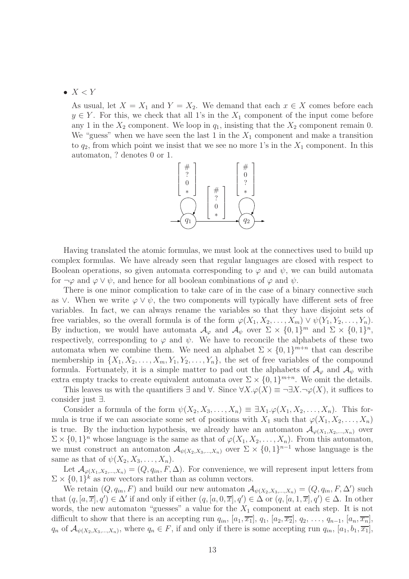$\bullet$   $X < Y$ 

As usual, let  $X = X_1$  and  $Y = X_2$ . We demand that each  $x \in X$  comes before each  $y \in Y$ . For this, we check that all 1's in the  $X_1$  component of the input come before any 1 in the  $X_2$  component. We loop in  $q_1$ , insisting that the  $X_2$  component remain 0. We "guess" when we have seen the last 1 in the  $X_1$  component and make a transition to  $q_2$ , from which point we insist that we see no more 1's in the  $X_1$  component. In this automaton, ? denotes 0 or 1.



Having translated the atomic formulas, we must look at the connectives used to build up complex formulas. We have already seen that regular languages are closed with respect to Boolean operations, so given automata corresponding to  $\varphi$  and  $\psi$ , we can build automata for  $\neg \varphi$  and  $\varphi \vee \psi$ , and hence for all boolean combinations of  $\varphi$  and  $\psi$ .

There is one minor complication to take care of in the case of a binary connective such as  $\vee$ . When we write  $\varphi \vee \psi$ , the two components will typically have different sets of free variables. In fact, we can always rename the variables so that they have disjoint sets of free variables, so the overall formula is of the form  $\varphi(X_1, X_2, \ldots, X_m) \vee \psi(Y_1, Y_2, \ldots, Y_n)$ . By induction, we would have automata  $\mathcal{A}_{\varphi}$  and  $\mathcal{A}_{\psi}$  over  $\Sigma \times \{0,1\}^m$  and  $\Sigma \times \{0,1\}^n$ , respectively, corresponding to  $\varphi$  and  $\psi$ . We have to reconcile the alphabets of these two automata when we combine them. We need an alphabet  $\Sigma \times \{0,1\}^{m+n}$  that can describe membership in  $\{X_1, X_2, \ldots, X_m, Y_1, Y_2, \ldots, Y_n\}$ , the set of free variables of the compound formula. Fortunately, it is a simple matter to pad out the alphabets of  $\mathcal{A}_{\varphi}$  and  $\mathcal{A}_{\psi}$  with extra empty tracks to create equivalent automata over  $\Sigma \times \{0,1\}^{m+n}$ . We omit the details.

This leaves us with the quantifiers  $\exists$  and  $\forall$ . Since  $\forall X \cdot \varphi(X) \equiv \neg \exists X \cdot \neg \varphi(X)$ , it suffices to consider just ∃.

Consider a formula of the form  $\psi(X_2, X_3, \ldots, X_n) \equiv \exists X_1 \cdot \varphi(X_1, X_2, \ldots, X_n)$ . This formula is true if we can associate some set of positions with  $X_1$  such that  $\varphi(X_1, X_2, \ldots, X_n)$ is true. By the induction hypothesis, we already have an automaton  $\mathcal{A}_{\varphi(X_1,X_2,...,X_n)}$  over  $\Sigma \times \{0,1\}^n$  whose language is the same as that of  $\varphi(X_1, X_2, \ldots, X_n)$ . From this automaton, we must construct an automaton  $\mathcal{A}_{\psi(X_2,X_3,...,X_n)}$  over  $\Sigma \times \{0,1\}^{n-1}$  whose language is the same as that of  $\psi(X_2, X_3, \ldots, X_n)$ .

Let  $\mathcal{A}_{\varphi(X_1,X_2,...,X_n)} = (Q, q_{in}, F, \Delta)$ . For convenience, we will represent input letters from  $\Sigma \times \{0,1\}^k$  as row vectors rather than as column vectors.

We retain  $(Q, q_{in}, F)$  and build our new automaton  $\mathcal{A}_{\psi(X_2, X_3, ..., X_n)} = (Q, q_{in}, F, \Delta')$  such that  $(q, [a, \overline{x}], q') \in \Delta'$  if and only if either  $(q, [a, 0, \overline{x}], q') \in \Delta$  or  $(q, [a, 1, \overline{x}], q') \in \Delta$ . In other words, the new automaton "guesses" a value for the  $X_1$  component at each step. It is not difficult to show that there is an accepting run  $q_{in}$ , [a<sub>1</sub>,  $\overline{x_1}$ ],  $q_1$ , [a<sub>2</sub>,  $\overline{x_2}$ ],  $q_2$ , ...,  $q_{n-1}$ , [a<sub>n</sub>,  $\overline{x_n}$ ],  $q_n$  of  $\mathcal{A}_{\psi(X_2,X_3,...,X_n)}$ , where  $q_n \in F$ , if and only if there is some accepting run  $q_{in}$ ,  $[a_1,b_1,\overline{x_1}]$ ,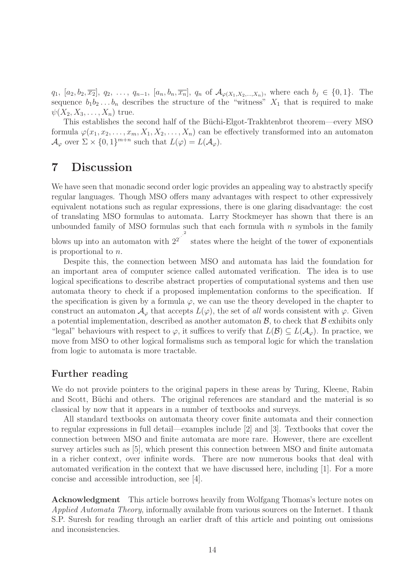$q_1, [a_2, b_2, \overline{x_2}], q_2, \ldots, q_{n-1}, [a_n, b_n, \overline{x_n}], q_n$  of  $\mathcal{A}_{\varphi(X_1, X_2, \ldots, X_n)}$ , where each  $b_j \in \{0, 1\}$ . The sequence  $b_1b_2 \ldots b_n$  describes the structure of the "witness"  $X_1$  that is required to make  $\psi(X_2, X_3, \ldots, X_n)$  true.

This establishes the second half of the Büchi-Elgot-Trakhtenbrot theorem—every MSO formula  $\varphi(x_1, x_2, \ldots, x_m, X_1, X_2, \ldots, X_n)$  can be effectively transformed into an automaton  $\mathcal{A}_{\varphi}$  over  $\Sigma \times \{0,1\}^{m+n}$  such that  $L(\varphi) = L(\mathcal{A}_{\varphi}).$ 

# 7 Discussion

We have seen that monadic second order logic provides an appealing way to abstractly specify regular languages. Though MSO offers many advantages with respect to other expressively equivalent notations such as regular expressions, there is one glaring disadvantage: the cost of translating MSO formulas to automata. Larry Stockmeyer has shown that there is an unbounded family of MSO formulas such that each formula with  $n$  symbols in the family blows up into an automaton with  $2^{2^{j}}$ states where the height of the tower of exponentials is proportional to n.

Despite this, the connection between MSO and automata has laid the foundation for an important area of computer science called automated verification. The idea is to use logical specifications to describe abstract properties of computational systems and then use automata theory to check if a proposed implementation conforms to the specification. If the specification is given by a formula  $\varphi$ , we can use the theory developed in the chapter to construct an automaton  $\mathcal{A}_{\varphi}$  that accepts  $L(\varphi)$ , the set of all words consistent with  $\varphi$ . Given a potential implementation, described as another automaton  $\beta$ , to check that  $\beta$  exhibits only "legal" behaviours with respect to  $\varphi$ , it suffices to verify that  $L(\mathcal{B}) \subseteq L(\mathcal{A}_{\varphi})$ . In practice, we move from MSO to other logical formalisms such as temporal logic for which the translation from logic to automata is more tractable.

### Further reading

We do not provide pointers to the original papers in these areas by Turing, Kleene, Rabin and Scott, Büchi and others. The original references are standard and the material is so classical by now that it appears in a number of textbooks and surveys.

All standard textbooks on automata theory cover finite automata and their connection to regular expressions in full detail—examples include [2] and [3]. Textbooks that cover the connection between MSO and finite automata are more rare. However, there are excellent survey articles such as [5], which present this connection between MSO and finite automata in a richer context, over infinite words. There are now numerous books that deal with automated verification in the context that we have discussed here, including [1]. For a more concise and accessible introduction, see [4].

Acknowledgment This article borrows heavily from Wolfgang Thomas's lecture notes on Applied Automata Theory, informally available from various sources on the Internet. I thank S.P. Suresh for reading through an earlier draft of this article and pointing out omissions and inconsistencies.